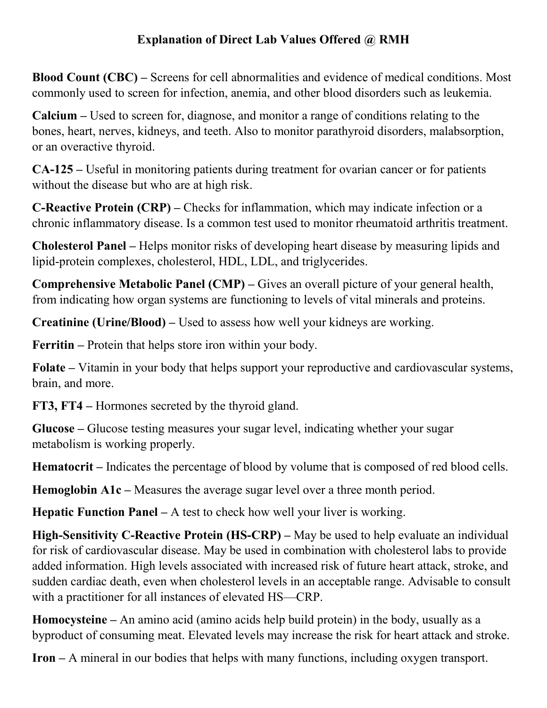## **Explanation of Direct Lab Values Offered @ RMH**

**Blood Count (CBC) –** Screens for cell abnormalities and evidence of medical conditions. Most commonly used to screen for infection, anemia, and other blood disorders such as leukemia.

**Calcium –** Used to screen for, diagnose, and monitor a range of conditions relating to the bones, heart, nerves, kidneys, and teeth. Also to monitor parathyroid disorders, malabsorption, or an overactive thyroid.

**CA-125 –** Useful in monitoring patients during treatment for ovarian cancer or for patients without the disease but who are at high risk.

**C-Reactive Protein (CRP) –** Checks for inflammation, which may indicate infection or a chronic inflammatory disease. Is a common test used to monitor rheumatoid arthritis treatment.

**Cholesterol Panel –** Helps monitor risks of developing heart disease by measuring lipids and lipid-protein complexes, cholesterol, HDL, LDL, and triglycerides.

**Comprehensive Metabolic Panel (CMP) –** Gives an overall picture of your general health, from indicating how organ systems are functioning to levels of vital minerals and proteins.

**Creatinine (Urine/Blood) –** Used to assess how well your kidneys are working.

**Ferritin –** Protein that helps store iron within your body.

**Folate –** Vitamin in your body that helps support your reproductive and cardiovascular systems, brain, and more.

**FT3, FT4 –** Hormones secreted by the thyroid gland.

**Glucose –** Glucose testing measures your sugar level, indicating whether your sugar metabolism is working properly.

**Hematocrit –** Indicates the percentage of blood by volume that is composed of red blood cells.

**Hemoglobin A1c –** Measures the average sugar level over a three month period.

**Hepatic Function Panel – A test to check how well your liver is working.** 

**High-Sensitivity C-Reactive Protein (HS-CRP) – May be used to help evaluate an individual** for risk of cardiovascular disease. May be used in combination with cholesterol labs to provide added information. High levels associated with increased risk of future heart attack, stroke, and sudden cardiac death, even when cholesterol levels in an acceptable range. Advisable to consult with a practitioner for all instances of elevated HS—CRP.

**Homocysteine –** An amino acid (amino acids help build protein) in the body, usually as a byproduct of consuming meat. Elevated levels may increase the risk for heart attack and stroke.

**Iron –** A mineral in our bodies that helps with many functions, including oxygen transport.